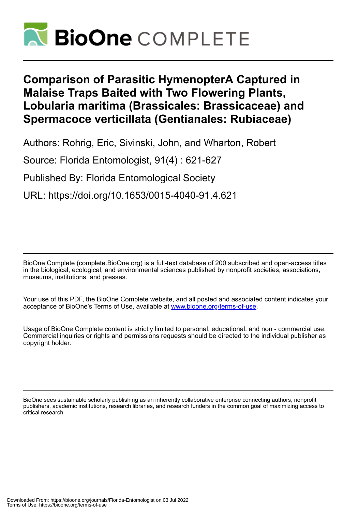

# **Comparison of Parasitic HymenopterA Captured in Malaise Traps Baited with Two Flowering Plants, Lobularia maritima (Brassicales: Brassicaceae) and Spermacoce verticillata (Gentianales: Rubiaceae)**

Authors: Rohrig, Eric, Sivinski, John, and Wharton, Robert

Source: Florida Entomologist, 91(4) : 621-627

Published By: Florida Entomological Society

URL: https://doi.org/10.1653/0015-4040-91.4.621

BioOne Complete (complete.BioOne.org) is a full-text database of 200 subscribed and open-access titles in the biological, ecological, and environmental sciences published by nonprofit societies, associations, museums, institutions, and presses.

Your use of this PDF, the BioOne Complete website, and all posted and associated content indicates your acceptance of BioOne's Terms of Use, available at www.bioone.org/terms-of-use.

Usage of BioOne Complete content is strictly limited to personal, educational, and non - commercial use. Commercial inquiries or rights and permissions requests should be directed to the individual publisher as copyright holder.

BioOne sees sustainable scholarly publishing as an inherently collaborative enterprise connecting authors, nonprofit publishers, academic institutions, research libraries, and research funders in the common goal of maximizing access to critical research.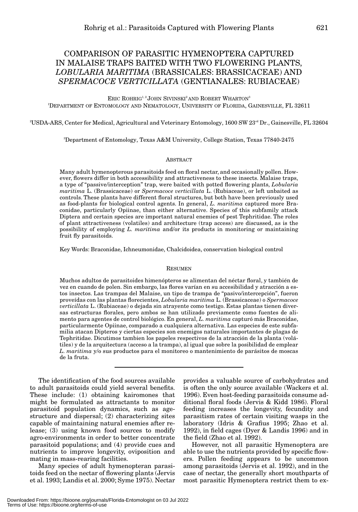# COMPARISON OF PARASITIC HYMENOPTERA CAPTURED IN MALAISE TRAPS BAITED WITH TWO FLOWERING PLANTS, *LOBULARIA MARITIMA* (BRASSICALES: BRASSICACEAE) AND *SPERMACOCE VERTICILLATA* (GENTIANALES: RUBIACEAE)

ERIC ROHRIG<sup>1, 2</sup> JOHN SIVINSKI<sup>2</sup> AND ROBERT WHARTON<sup>3</sup> 1 DEPARTMENT OF ENTOMOLOGY AND NEMATOLOGY, UNIVERSITY OF FLORIDA, GAINESVILLE, FL 32611

 $^2$ USDA-ARS, Center for Medical, Agricultural and Veterinary Entomology, 1600 SW 23rd Dr., Gainesville, FL 32604

3 Department of Entomology, Texas A&M University, College Station, Texas 77840-2475

#### **ABSTRACT**

Many adult hymenopterous parasitoids feed on floral nectar, and occasionally pollen. However, flowers differ in both accessibility and attractiveness to these insects. Malaise traps, a type of "passive/interception" trap, were baited with potted flowering plants, *Lobularia maritima* L. (Brassicaceae) or *Spermacoce verticillata* L. (Rubiaceae), or left unbaited as controls. These plants have different floral structures, but both have been previously used as food-plants for biological control agents. In general, *L. maritima* captured more Braconidae, particularly Opiinae, than either alternative. Species of this subfamily attack Diptera and certain species are important natural enemies of pest Tephritidae. The roles of plant attractiveness (volatiles) and architecture (trap access) are discussed, as is the possibility of employing *L. maritima* and/or its products in monitoring or maintaining fruit fly parasitoids.

Key Words: Braconidae, Ichneumonidae, Chalcidoidea, conservation biological control

#### RESUMEN

Muchos adultos de parasitoides himenópteros se alimentan del néctar floral, y también de vez en cuando de polen. Sin embargo, las flores varían en su accesibilidad y atracción a estos insectos. Las trampas del Malaise, un tipo de trampa de "pasivo/intercepción", fueron proveídas con las plantas florecientes, *Lobularia maritima* L. (Brassicaceae) o *Spermacoce verticillata* L. (Rubiaceae) o dejada sin atrayente como testigo. Estas plantas tienen diversas estructuras florales, pero ambos se han utilizado previamente como fuentes de alimento para agentes de control biológico. En general, *L. maritima* capturó más Braconidae, particularmente Opiinae, comparado a cualquiera alternativa. Las especies de este subfamilia atacan Dipteros y ciertas especies son enemigos naturales importantes de plagas de Tephritidae. Dicutimos tambien los papeles respectivos de la atracción de la planta (volátiles) y de la arquitectura (acceso a la trampa), al igual que sobre la posibilidad de emplear *L. maritima* y/o sus productos para el monitoreo o mantenimiento de parásitos de moscas de la fruta.

The identification of the food sources available to adult parasitoids could yield several benefits. These include: (1) obtaining kairomones that might be formulated as attractants to monitor parasitoid population dynamics, such as agestructure and dispersal; (2) characterizing sites capable of maintaining natural enemies after release; (3) using known food sources to modify agro-environments in order to better concentrate parasitoid populations; and (4) provide cues and nutrients to improve longevity, oviposition and mating in mass-rearing facilities.

Many species of adult hymenopteran parasitoids feed on the nectar of flowering plants (Jervis et al. 1993; Landis et al. 2000; Syme 1975). Nectar

provides a valuable source of carbohydrates and is often the only source available (Wackers et al. 1996). Even host-feeding parasitoids consume additional floral foods (Jervis & Kidd 1986). Floral feeding increases the longevity, fecundity and parasitism rates of certain visiting wasps in the laboratory (Idris & Grafius 1995; Zhao et al. 1992), in field cages (Dyer & Landis 1996) and in the field (Zhao et al. 1992).

However, not all parasitic Hymenoptera are able to use the nutrients provided by specific flowers. Pollen feeding appears to be uncommon among parasitoids (Jervis et al. 1992), and in the case of nectar, the generally short mouthparts of most parasitic Hymenoptera restrict them to ex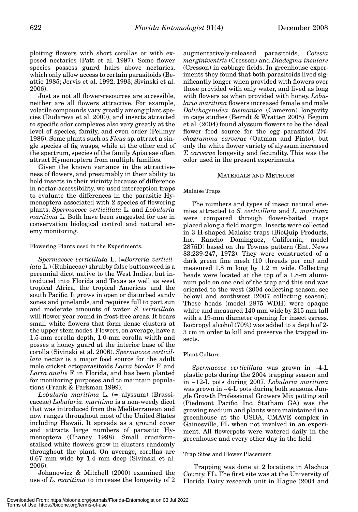ploiting flowers with short corollas or with exposed nectaries (Patt et al. 1997). Some flower species possess guard hairs above nectaries, which only allow access to certain parasitoids (Beattie 1985; Jervis et al. 1992, 1993; Sivinski et al. 2006).

Just as not all flower-resources are accessible, neither are all flowers attractive. For example, volatile compounds vary greatly among plant species (Dudareva et al. 2000), and insects attracted to specific odor complexes also vary greatly at the level of species, family, and even order (Pellmyr 1986). Some plants such as *Ficus* sp. attract a single species of fig wasps, while at the other end of the spectrum, species of the family Apiaceae often attract Hymenoptera from multiple families.

Given the known variance in the attractiveness of flowers, and presumably in their ability to hold insects in their vicinity because of difference in nectar-accessibility, we used interception traps to evaluate the differences in the parasitic Hymenoptera associated with 2 species of flowering plants, *Spermacoce verticillata* L. and *Lobularia maritima* L. Both have been suggested for use in conservation biological control and natural enemy monitoring.

#### Flowering Plants used in the Experiments.

*Spermacoce verticillata* L. (=*Borreria verticillata* L.) (Rubiaceae) shrubby false buttonweed is a perennial dicot native to the West Indies, but introduced into Florida and Texas as well as west tropical Africa, the tropical Americas and the south Pacific. It grows in open or disturbed sandy zones and pinelands, and requires full to part sun and moderate amounts of water. *S. verticillata* will flower year round in frost-free areas. It bears small white flowers that form dense clusters at the upper stem nodes. Flowers, on average, have a 1.5-mm corolla depth, 1.0-mm corolla width and posses a honey guard at the interior base of the corolla (Sivinski et al. 2006). *Spermacoce verticillata* nectar is a major food source for the adult mole cricket ectoparasitoids *Larra bicolor* F. and *Larra analis* F. in Florida, and has been planted for monitoring purposes and to maintain populations (Frank & Parkman 1999).

*Lobularia maritima* L. (= alyssum) (Brassicaceae) *Lobularia. maritima* is a non-weedy dicot that was introduced from the Mediterranean and now ranges throughout most of the United States including Hawaii. It spreads as a ground cover and attracts large numbers of parasitic Hymenoptera (Chaney 1998). Small cruciformstalked white flowers grow in clusters randomly throughout the plant. On average, corollas are 0.67 mm wide by 1.4 mm deep (Sivinski et al. 2006).

Johanowicz & Mitchell (2000) examined the use of *L. maritima* to increase the longevity of 2

augmentatively-released parasitoids, *Cotesia marginiventris* (Cresson) and *Diadegma insulare* (Cresson) in cabbage fields. In greenhouse experiments they found that both parasitoids lived significantly longer when provided with flowers over those provided with only water, and lived as long with flowers as when provided with honey. *Lobularia maritima* flowers increased female and male *Dolichogenidea tasmanica* (Cameron) longevity in cage studies (Berndt & Wratten 2005). Begum et al. (2004) found alyssum flowers to be the ideal flower food source for the egg parasitoid *Trichogramma carverae* (Oatman and Pinto), but only the white flower variety of alyssum increased *T. carverae* longevity and fecundity. This was the color used in the present experiments.

#### MATERIALS AND METHODS

#### Malaise Traps

The numbers and types of insect natural enemies attracted to *S. verticillata* and *L. maritima* were compared through flower-baited traps placed along a field margin. Insects were collected in 3 H-shaped Malaise traps (BioQuip Products, Inc. Rancho Dominguez, California, model 2875D) based on the Townes pattern (Ent. News 83:239-247, 1972). They were constructed of a dark green fine mesh (10 threads per cm) and measured 1.8 m long by 1.2 m wide. Collecting heads were located at the top of a 1.8-m aluminum pole on one end of the trap and this end was oriented to the west (2004 collecting season; see below) and southwest (2007 collecting season). These heads (model 2875 WDH) were opaque white and measured 140 mm wide by 215 mm tall with a 19-mm diameter opening for insect egress. Isopropyl alcohol (70%) was added to a depth of 2- 3 cm in order to kill and preserve the trapped insects.

#### Plant Culture.

*Spermacoce verticillata* was grown in ~4-L plastic pots during the 2004 trapping season and in ~12-L pots during 2007. *Lobularia maritima* was grown in ~4-L pots during both seasons. Jungle Growth Professional Growers Mix potting soil (Piedmont Pacific, Inc. Statham GA) was the growing medium and plants were maintained in a greenhouse at the USDA, CMAVE complex in Gainesville, FL when not involved in an experiment. All flowerpots were watered daily in the greenhouse and every other day in the field.

#### Trap Sites and Flower Placement.

Trapping was done at 2 locations in Alachua County, FL. The first site was at the University of Florida Dairy research unit in Hague (2004 and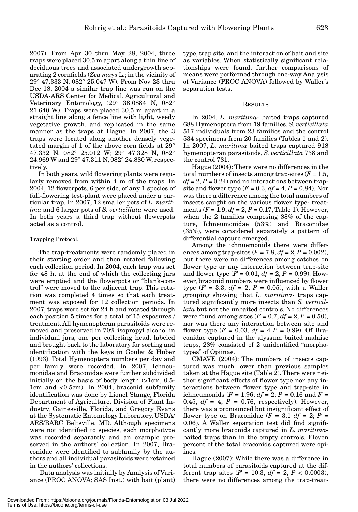2007). From Apr 30 thru May 28, 2004, three traps were placed 30.5 m apart along a thin line of deciduous trees and associated undergrowth separating 2 cornfields (*Zea mays* L.; in the vicinity of 29° 47.333 N, 082° 25.047 W). From Nov 23 thru Dec 18, 2004 a similar trap line was run on the USDA-ARS Center for Medical, Agricultural and Veterinary Entomology, (29° 38.0884 N, 082° 21.640 W). Traps were placed 30.5 m apart in a straight line along a fence line with light, weedy vegetative growth, and replicated in the same manner as the traps at Hague. In 2007, the 3 traps were located along another densely vegetated margin of 1 of the above corn fields at 29° 47.332 N, 082° 25.012 W; 29° 47.328 N, 082° 24.969 W and 29° 47.311 N, 082° 24.880 W, respectively.

In both years, wild flowering plants were regularly removed from within 4 m of the traps. In 2004, 12 flowerpots, 6 per side, of any 1 species of full-flowering test-plant were placed under a particular trap. In 2007, 12 smaller pots of *L. maritima* and 6 larger pots of *S. verticillata* were used. In both years a third trap without flowerpots acted as a control.

## Trapping Protocol.

The trap-treatments were randomly placed in their starting order and then rotated following each collection period. In 2004, each trap was set for 48 h, at the end of which the collecting jars were emptied and the flowerpots or "blank-control" were moved to the adjacent trap. This rotation was completed 4 times so that each treatment was exposed for 12 collection periods. In 2007, traps were set for 24 h and rotated through each position 5 times for a total of 15 exposures / treatment. All hymenopteran parasitoids were removed and preserved in 70% isopropyl alcohol in individual jars, one per collecting head, labeled and brought back to the laboratory for sorting and identification with the keys in Goulet & Huber (1993). Total Hymenoptera numbers per day and per family were recorded. In 2007, Ichneumonidae and Braconidae were further subdivided initially on the basis of body length (>1cm, 0.5- 1cm and <0.5cm). In 2004, braconid subfamily identification was done by Lionel Stange, Florida Department of Agriculture, Division of Plant Industry, Gainesville, Florida, and Gregory Evans at the Systematic Entomology Laboratory, USDA/ ARS/BARC Beltsville, MD. Although specimens were not identified to species, each morphotype was recorded separately and an example preserved in the authors' collection. In 2007, Braconidae were identified to subfamily by the authors and all individual parasitoids were retained in the authors' collections.

Data analysis was initially by Analysis of Variance (PROC ANOVA; SAS Inst.) with bait (plant) type, trap site, and the interaction of bait and site as variables. When statistically significant relationships were found, further comparisons of means were performed through one-way Analysis of Variance (PROC ANOVA) followed by Waller's separation tests.

### RESULTS

In 2004, *L. maritima-* baited traps captured 688 Hymenoptera from 19 families, *S. verticillata* 517 individuals from 23 families and the control 534 specimens from 20 families (Tables 1 and 2). In 2007, *L. maritima* baited traps captured 918 hymenopteran parasitoids, *S. verticillata* 738 and the control 781.

Hague (2004): There were no differences in the total numbers of insects among trap-sites  $(F = 1.5,$  $df = 2, P = 0.24$  and no interactions between trapsite and flower type ( $F = 0.3$ ,  $df = 4$ ,  $P = 0.84$ ). Nor was there a difference among the total numbers of insects caught on the various flower type- treatments  $(F = 1.9, df = 2, P = 0.17, Table 1)$ . However, when the 2 families composing 88% of the capture, Ichneumonidae (53%) and Braconidae (35%), were considered separately a pattern of differential capture emerged.

Among the ichnuemonids there were differences among trap-sites ( $F = 7.8$ ,  $df = 2$ ,  $P = 0.002$ ), but there were no differences among catches on flower type or any interaction between trap-site and flower type  $(F = 0.01, df = 2, P = 0.99)$ . However, braconid numbers were influenced by flower type  $(F = 3.3, df = 2, P = 0.05)$ , with a Waller grouping showing that *L. maritima*- traps captured significantly more insects than *S. verticillata* but not the unbaited controls. No differences were found among sites ( $F = 0.7$ ,  $df = 2$ ,  $P = 0.50$ ), nor was there any interaction between site and flower type  $(F = 0.03, df = 4 P = 0.99)$ . Of Braconidae captured in the alyssum baited malaise traps, 28% consisted of 2 unidentified "morphotypes" of Opiinae.

CMAVE (2004): The numbers of insects captured was much lower than previous samples taken at the Hague site (Table 2). There were neither significant effects of flower type nor any interactions between flower type and trap-site in ichneumonids ( $F = 1.96$ ;  $df = 2$ ;  $P = 0.16$  and  $F =$ 0.45,  $df = 4$ ,  $P = 0.76$ , respectively). However, there was a pronounced but insignificant effect of flower type on Braconidae  $(F = 3.1 \text{ df} = 2; P =$ 0.06). A Waller separation test did find significantly more braconids captured in *L. maritima*baited traps than in the empty controls. Eleven percent of the total braconids captured were opiines.

Hague (2007): While there was a difference in total numbers of parasitoids captured at the different trap sites  $(F = 10.3, df = 2, P < 0.0003)$ , there were no differences among the trap-treat-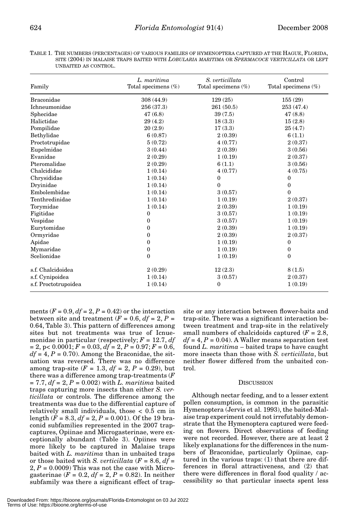| TABLE 1. THE NUMBERS (PERCENTAGES) OF VARIOUS FAMILIES OF HYMENOPTERA CAPTURED AT THE HAGUE. FLORIDA.        |
|--------------------------------------------------------------------------------------------------------------|
| SITE (2004) IN MALAISE TRAPS BAITED WITH <i>LOBULARIA MARITIMA</i> OR <i>SPERMACOCE VERTICILLATA</i> OR LEFT |
| UNBAITED AS CONTROL.                                                                                         |

| Family               | L. maritima<br>Total specimens $(\%)$ | S. verticillata<br>Total specimens $(\%)$ | Control<br>Total specimens $(\%)$ |  |
|----------------------|---------------------------------------|-------------------------------------------|-----------------------------------|--|
|                      |                                       |                                           |                                   |  |
| <b>Braconidae</b>    | 308(44.9)                             | 129(25)                                   | 155(29)                           |  |
| <b>Ichneumonidae</b> | 256(37.3)                             | 261(50.5)                                 | 253 (47.4)                        |  |
| Sphecidae            | 47(6.8)                               | 39(7.5)                                   | 47(8.8)                           |  |
| Halictidae           | 29(4.2)                               | 18(3.3)                                   | 15(2.8)                           |  |
| Pompilidae           | 20(2.9)                               | 17(3.3)                                   | 25(4.7)                           |  |
| Bethylidae           | 6(0.87)                               | 2(0.39)                                   | 6(1.1)                            |  |
| Proctotrupidae       | 5(0.72)                               | 4(0.77)                                   | 2(0.37)                           |  |
| Eupelmidae           | 3(0.44)                               | 2(0.39)                                   | 3(0.56)                           |  |
| Evanidae             | 2(0.29)                               | 1(0.19)                                   | 2(0.37)                           |  |
| Pteromalidae         | 2(0.29)                               | 6(1.1)                                    | 3(0.56)                           |  |
| Chalcididae          | 1(0.14)                               | 4(0.77)                                   | 4(0.75)                           |  |
| Chrysididae          | 1(0.14)                               | 0                                         | $\bf{0}$                          |  |
| Dryinidae            | 1(0.14)                               | $\theta$                                  | $\theta$                          |  |
| Embolembidae         | 1(0.14)                               | 3(0.57)                                   | $\theta$                          |  |
| Tenthredinidae       | 1(0.14)                               | 1(0.19)                                   | 2(0.37)                           |  |
| Torymidae            | 1(0.14)                               | 2(0.39)                                   | 1(0.19)                           |  |
| Figitidae            | 0                                     | 3(0.57)                                   | 1(0.19)                           |  |
| Vespidae             | 0                                     | 3(0.57)                                   | 1(0.19)                           |  |
| Eurytomidae          | 0                                     | 2(0.39)                                   | 1(0.19)                           |  |
| Ormyridae            | 0                                     | 2(0.39)                                   | 2(0.37)                           |  |
| Apidae               | 0                                     | 1(0.19)                                   | $\boldsymbol{0}$                  |  |
| Mymaridae            | 0                                     | 1(0.19)                                   | $\mathbf{0}$                      |  |
| Scelionidae          | $\mathbf{0}$                          | 1(0.19)                                   | $\theta$                          |  |
| s.f. Chalcidoidea    | 2(0.29)                               | 12(2.3)                                   | 8(1.5)                            |  |
| s.f. Cynipoidea      | 1(0.14)                               | 3(0.57)                                   | 2(0.37)                           |  |
| s.f. Proctotrupoidea | 1(0.14)                               | $\mathbf{0}$                              | 1(0.19)                           |  |

ments  $(F = 0.9, df = 2, P = 0.42)$  or the interaction between site and treatment  $(F = 0.6, df = 2, P =$ 0.64, Table 3). This pattern of differences among sites but not treatments was true of Icnuemonidae in particular (respectively;  $F = 12.7$ ,  $df$  $= 2$ ,  $p < 0.0001$ ;  $F = 0.03$ ,  $df = 2$ ,  $P = 0.97$ ;  $F = 0.6$ ,  $df = 4, P = 0.70$ . Among the Braconidae, the situation was reversed. There was no difference among trap-site  $(F = 1.3, df = 2, P = 0.29)$ , but there was a difference among trap-treatments (*F*  $= 7.7, df = 2, P = 0.002$  with *L. maritima* baited traps capturing more insects than either *S. verticillata* or controls. The difference among the treatments was due to the differential capture of relatively small individuals, those < 0.5 cm in length (*F* = 8.3, *df* = 2, *P* = 0.001). Of the 19 braconid subfamilies represented in the 2007 trapcaptures, Opiinae and Microgasterinae, were exceptionally abundant (Table 3). Opiines were more likely to be captured in Malaise traps baited with *L. maritima* than in unbaited traps or those baited with *S. verticillata*  $(F = 8.6, df =$  $2, P = 0.0009$ ) This was not the case with Microgasterinae ( $F = 0.2$ ,  $df = 2$ ,  $P = 0.82$ ). In neither subfamily was there a significant effect of trap-

site or any interaction between flower-baits and trap-site. There was a significant interaction between treatment and trap-site in the relatively small numbers of chalcidoids captured  $(F = 2.8,$  $df = 4, P = 0.04$ . A Waller means separation test found *L. maritima* – baited traps to have caught more insects than those with *S. verticillata*, but neither flower differed from the unbaited control.

#### **DISCUSSION**

Although nectar feeding, and to a lesser extent pollen consumption, is common in the parasitic Hymenoptera (Jervis et al. 1993), the baited-Malaise trap experiment could not irrefutably demonstrate that the Hymenoptera captured were feeding on flowers. Direct observations of feeding were not recorded. However, there are at least 2 likely explanations for the differences in the numbers of Braconidae, particularly Opiinae, captured in the various traps: (1) that there are differences in floral attractiveness, and (2) that there were differences in floral food quality / accessibility so that particular insects spent less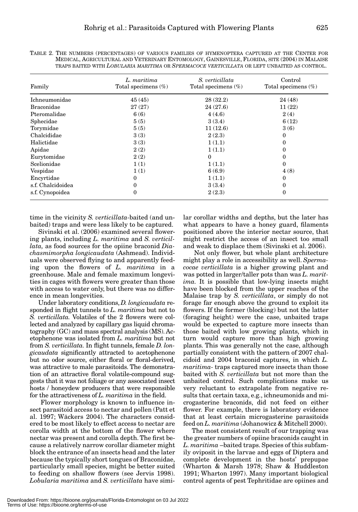| TRAPS BAITED WITH <i>LOBULARIA MARITIMA</i> OR S <i>PERMACOCE VERTICILLATA</i> OR LEFT UNBAITED AS CONTROL. |                                       |                                           |                                   |  |  |  |
|-------------------------------------------------------------------------------------------------------------|---------------------------------------|-------------------------------------------|-----------------------------------|--|--|--|
| Family                                                                                                      | L. maritima<br>Total specimens $(\%)$ | S. verticillata<br>Total specimens $(\%)$ | Control<br>Total specimens $(\%)$ |  |  |  |
| Ichneumonidae                                                                                               | 45(45)                                | 28(32.2)                                  | 24(48)                            |  |  |  |
| <b>Braconidae</b>                                                                                           | 27(27)                                | 24(27.6)                                  | 11(22)                            |  |  |  |
| Pteromalidae                                                                                                | 6(6)                                  | 4(4.6)                                    | 2(4)                              |  |  |  |
| Sphecidae                                                                                                   | 5(5)                                  | 3(3.4)                                    | 6(12)                             |  |  |  |
| Torymidae                                                                                                   | 5(5)                                  | 11(12.6)                                  | 3(6)                              |  |  |  |
| Chalcididae                                                                                                 | 3(3)                                  | 2(2.3)                                    | 0                                 |  |  |  |
| Halictidae                                                                                                  | 3(3)                                  | 1(1.1)                                    | 0                                 |  |  |  |
| Apidae                                                                                                      | 2(2)                                  | 1(1.1)                                    | 0                                 |  |  |  |
| Eurytomidae                                                                                                 | 2(2)                                  | $\theta$                                  | 0                                 |  |  |  |
| Scelionidae                                                                                                 | 1(1)                                  | 1(1.1)                                    | $\Omega$                          |  |  |  |
| Vespidae                                                                                                    | 1(1)                                  | 6(6.9)                                    | 4(8)                              |  |  |  |
| Encyrtidae                                                                                                  | 0                                     | 1(1.1)                                    | 0                                 |  |  |  |
| s.f. Chalcidoidea                                                                                           | 0                                     | 3(3.4)                                    | 0                                 |  |  |  |
| s.f. Cynopoidea                                                                                             | 0                                     | 2(2.3)                                    | 0                                 |  |  |  |

TABLE 2. THE NUMBERS (PERCENTAGES) OF VARIOUS FAMILIES OF HYMENOPTERA CAPTURED AT THE CENTER FOR MEDICAL, AGRICULTURAL AND VETERINARY ENTOMOLOGY, GAINESVILLE, FLORIDA, SITE (2004) IN MALAISE TRAPS BAITED WITH *LOBULARIA MARITIMA* OR *SPERMACOCE VERTICILLATA* OR LEFT UNBAITED AS CONTROL.

time in the vicinity *S. verticillata-*baited (and unbaited) traps and were less likely to be captured.

Sivinski et al. (2006) examined several flowering plants, including *L. maritima* and *S. verticillata,* as food sources for the opiine braconid *Diachasmimorpha longicaudata* (Ashmead). Individuals were observed flying to and apparently feeding upon the flowers of *L. maritima* in a greenhouse. Male and female maximum longevities in cages with flowers were greater than those with access to water only, but there was no difference in mean longevities.

Under laboratory conditions, *D. longicaudata* responded in flight tunnels to *L. maritima* but not to *S. verticillata.* Volatiles of the 2 flowers were collected and analyzed by capillary gas liquid chromatography (GC) and mass spectral analysis (MS). Acetophenone was isolated from *L. maritima* but not from *S. verticillata.* In flight tunnels, female *D. longicaudata* significantly attracted to acetophenone but no odor source, either floral or floral-derived, was attractive to male parasitoids. The demonstration of an attractive floral volatile-compound suggests that it was not foliage or any associated insect hosts / honeydew producers that were responsible for the attractiveness of *L. maritima* in the field.

Flower morphology is known to influence insect parasitoid access to nectar and pollen (Patt et al. 1997; Wäckers 2004). The characters considered to be most likely to effect access to nectar are corolla width at the bottom of the flower where nectar was present and corolla depth. The first because a relatively narrow corollar diameter might block the entrance of an insects head and the later because the typically short tongues of Braconidae, particularly small species, might be better suited to feeding on shallow flowers (see Jervis 1998). *Lobularia maritima* and *S. verticillata* have similar corollar widths and depths, but the later has what appears to have a honey guard, filaments positioned above the interior nectar source, that might restrict the access of an insect too small and weak to displace them (Sivinski et al. 2006).

Not only flower, but whole plant architecture might play a role in accessibility as well. *Spermacocae verticillata* is a higher growing plant and was potted in larger/taller pots than was *L. maritima.* It is possible that low-lying insects might have been blocked from the upper reaches of the Malaise trap by *S. verticillata*, or simply do not forage far enough above the ground to exploit its flowers. If the former (blocking) but not the latter (foraging height) were the case, unbaited traps would be expected to capture more insects than those baited with low growing plants, which in turn would capture more than high growing plants. This was generally not the case, although partially consistent with the pattern of 2007 chalcidoid and 2004 braconid captures, in which *L. maritima-* traps captured more insects than those baited with *S. verticillata* but not more than the unbaited control. Such complications make us very reluctant to extrapolate from negative results that certain taxa, e.g., ichneumonids and microgasterine braconids, did not feed on either flower. For example, there is laboratory evidence that at least certain microgasterine parasitoids feed on *L. maritima* (Johanowicz & Mitchell 2000).

The most consistent result of our trapping was the greater numbers of opiine braconids caught in *L. maritima* –baited traps. Species of this subfamily oviposit in the larvae and eggs of Diptera and complete development in the hosts' prepupae (Wharton & Marsh 1978; Shaw & Huddleston 1991; Wharton 1997). Many important biological control agents of pest Tephritidae are opiines and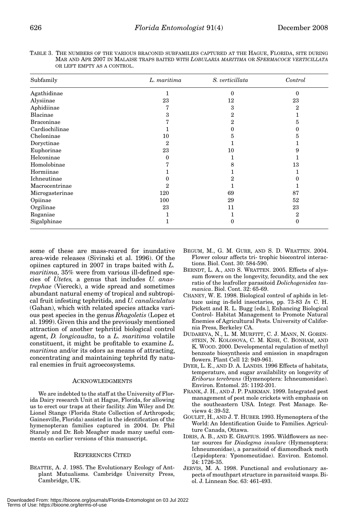| TABLE 3. THE NUMBERS OF THE VARIOUS BRACONID SUBFAMILIES CAPTURED AT THE HAGUE, FLORIDA, SITE DURING |  |  |  |  |
|------------------------------------------------------------------------------------------------------|--|--|--|--|
| MAR AND APR 2007 IN MALAISE TRAPS BAITED WITH <i>LOBULARIA MARITIMA</i> OR SPERMACOCE VERTICILLATA   |  |  |  |  |
| OR LEFT EMPTY AS A CONTROL.                                                                          |  |  |  |  |

| Subfamily         | L. maritima    | S. verticillata | Control  |
|-------------------|----------------|-----------------|----------|
| Agathidinae       | 1              | $\theta$        | $\theta$ |
| Alysiinae         | 23             | 12              | 23       |
| Aphidiinae        | 7              | 3               | 2        |
| Blacinae          | 3              | 2               |          |
| <b>Braconinae</b> | 7              | $\overline{2}$  | 5        |
| Cardiochilinae    |                | 0               | 0        |
| Cheloninae        | 10             | 5               | 5        |
| Doryctinae        | $\overline{2}$ |                 |          |
| Euphorinae        | 23             | 10              | 9        |
| Helconinae        | 0              |                 |          |
| Homolobinae       | 7              | 8               | 13       |
| Hormiinae         |                |                 |          |
| Ichneutinae       | 0              | 2               | 0        |
| Macrocentrinae    | $\overline{2}$ |                 |          |
| Microgasterinae   | 120            | 69              | 87       |
| Opiinae           | 100            | 29              | 52       |
| Orgilinae         | 23             | 11              | 23       |
| Roganiae          |                | 1               | 2        |
| Sigalphinae       |                | $\Omega$        | 0        |

some of these are mass-reared for inundative area-wide releases (Sivinski et al. 1996). Of the opiines captured in 2007 in traps baited with *L. maritima,* 35% were from various ill-defined species of *Utetes,* a genus that includes *U. anastrephae* (Viereck), a wide spread and sometimes abundant natural enemy of tropical and subtropical fruit infesting tephritids, and *U. canaliculatus* (Gahan), which with related species attacks various pest species in the genus *Rhagoletis* (Lopez et al. 1999). Given this and the previously mentioned attraction of another tephritid biological control agent, *D. longicaudta*, to a *L. maritima* volatile constituent, it might be profitable to examine *L. maritima* and/or its odors as means of attracting, concentrating and maintaining tephritd fly natural enemies in fruit agroecosystems.

#### ACKNOWLEDGMENTS

We are indebted to the staff at the University of Florida Dairy research Unit at Hague, Florida, for allowing us to erect our traps at their facility. Jim Wiley and Dr. Lionel Stange (Florida State Collection of Arthropods; Gainesville, Florida) assisted in the identification of the hymenopteran families captured in 2004. Dr. Phil Stansly and Dr. Rob Meagher made many useful comments on earlier versions of this manuscript.

#### REFERENCES CITED

BEATTIE, A. J. 1985. The Evolutionary Ecology of Antplant Mutualisms. Cambridge University Press, Cambridge, UK.

- BEGUM, M., G. M. GURR, AND S. D. WRATTEN. 2004. Flower colour affects tri- trophic biocontrol interactions. Biol. Cont. 30: 584-590.
- BERNDT, L. A., AND S. WRATTEN. 2005. Effects of alyssum flowers on the longevity, fecundity, and the sex ratio of the leafroller parasitoid *Dolichogenidea tasmanica*. Biol. Cont. 32: 65-69.
- CHANEY, W. E. 1998. Biological control of aphids in lettuce using in-field insectaries, pp. 73-83 *In* C. H. Pickett and R. L. Bugg [eds.], Enhancing Biological Control- Habitat Management to Promote Natural Enemies of Agricultural Pests. University of California Press, Berkeley CA.
- DUDAREVA, N., L. M. MURFITT, C. J. MANN, N. GOREN-STEIN, N. KOLOSOVA, C. M. KISH, C. BONHAM, AND K. WOOD. 2000. Developmental regulation of methyl benzoate biosynthesis and emission in snapdragon flowers. Plant Cell 12: 949-961.
- DYER, L. E., AND D. A. LANDIS. 1996 Effects of habitats, temperature, and sugar availability on longevity of *Eriborus terebrans* (Hymenoptera: Ichneumonidae). Environ. Entomol. 25: 1192-201.
- FRANK, J. H., AND J. P. PARKMAN. 1999. Integrated pest management of pest mole crickets with emphasis on the southeastern USA. Integr. Pest Manage. Reviews 4: 39-52.
- GOULET, H., AND J. T. HUBER. 1993. Hymenoptera of the World: An Identification Guide to Families. Agriculture Canada, Ottawa.
- IDRIS, A. B., AND E. GRAFIUS. 1995. Wildflowers as nectar sources for *Diadegma insulare* (Hymenoptera: Ichneumonidae), a parasitoid of diamondback moth (Lepidoptera: Yponomeutidae). Environ. Entomol. 24: 1726-35.
- JERVIS, M. A. 1998. Functional and evolutionary aspects of mouthpart structure in parasitoid wasps. Biol. J. Linnean Soc. 63: 461-493.